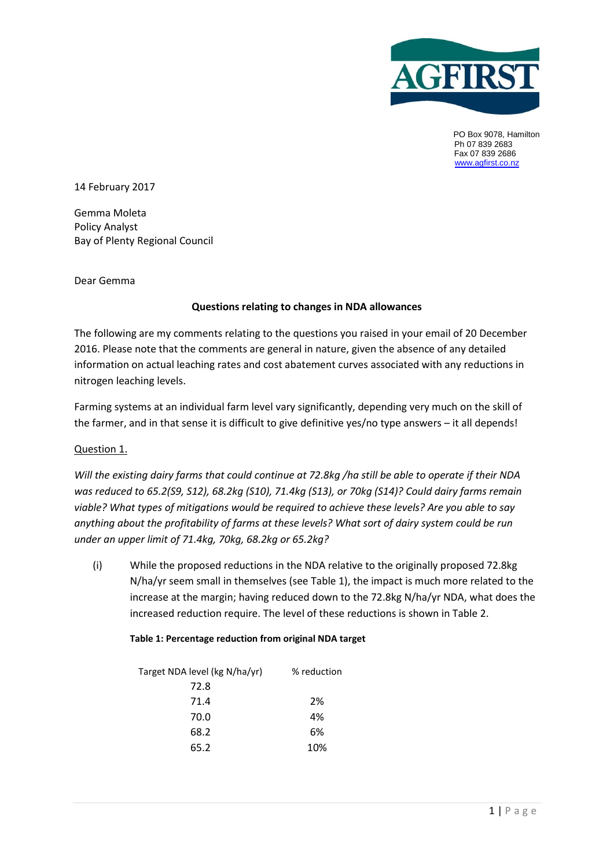

PO Box 9078, Hamilton Ph 07 839 2683 Fax 07 839 2686 [www.agfirst.co.nz](http://www.agfirst.co.nz/)

14 February 2017

Gemma Moleta Policy Analyst Bay of Plenty Regional Council

Dear Gemma

# **Questions relating to changes in NDA allowances**

The following are my comments relating to the questions you raised in your email of 20 December 2016. Please note that the comments are general in nature, given the absence of any detailed information on actual leaching rates and cost abatement curves associated with any reductions in nitrogen leaching levels.

Farming systems at an individual farm level vary significantly, depending very much on the skill of the farmer, and in that sense it is difficult to give definitive yes/no type answers – it all depends!

# Question 1.

*Will the existing dairy farms that could continue at 72.8kg /ha still be able to operate if their NDA was reduced to 65.2(S9, S12), 68.2kg (S10), 71.4kg (S13), or 70kg (S14)? Could dairy farms remain viable? What types of mitigations would be required to achieve these levels? Are you able to say anything about the profitability of farms at these levels? What sort of dairy system could be run under an upper limit of 71.4kg, 70kg, 68.2kg or 65.2kg?*

(i) While the proposed reductions in the NDA relative to the originally proposed 72.8kg N/ha/yr seem small in themselves (see Table 1), the impact is much more related to the increase at the margin; having reduced down to the 72.8kg N/ha/yr NDA, what does the increased reduction require. The level of these reductions is shown in Table 2.

#### **Table 1: Percentage reduction from original NDA target**

| Target NDA level (kg N/ha/yr) | % reduction |
|-------------------------------|-------------|
| 72.8                          |             |
| 71.4                          | 2%          |
| 70.0                          | 4%          |
| 68.2                          | 6%          |
| 65.2                          | 10%         |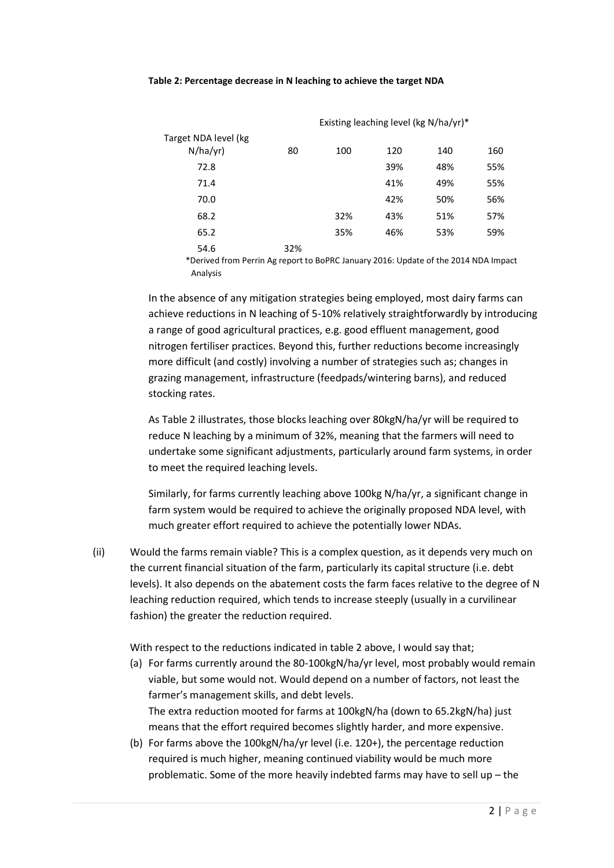#### **Table 2: Percentage decrease in N leaching to achieve the target NDA**

|                                  |     | Existing leaching level (kg N/ha/yr)* |     |     |     |  |
|----------------------------------|-----|---------------------------------------|-----|-----|-----|--|
| Target NDA level (kg<br>N/ha/yr) | 80  | 100                                   | 120 | 140 | 160 |  |
| 72.8                             |     |                                       | 39% | 48% | 55% |  |
| 71.4                             |     |                                       | 41% | 49% | 55% |  |
| 70.0                             |     |                                       | 42% | 50% | 56% |  |
| 68.2                             |     | 32%                                   | 43% | 51% | 57% |  |
| 65.2                             |     | 35%                                   | 46% | 53% | 59% |  |
| 54.6                             | 32% |                                       |     |     |     |  |

\*Derived from Perrin Ag report to BoPRC January 2016: Update of the 2014 NDA Impact Analysis

In the absence of any mitigation strategies being employed, most dairy farms can achieve reductions in N leaching of 5-10% relatively straightforwardly by introducing a range of good agricultural practices, e.g. good effluent management, good nitrogen fertiliser practices. Beyond this, further reductions become increasingly more difficult (and costly) involving a number of strategies such as; changes in grazing management, infrastructure (feedpads/wintering barns), and reduced stocking rates.

As Table 2 illustrates, those blocks leaching over 80kgN/ha/yr will be required to reduce N leaching by a minimum of 32%, meaning that the farmers will need to undertake some significant adjustments, particularly around farm systems, in order to meet the required leaching levels.

Similarly, for farms currently leaching above 100kg N/ha/yr, a significant change in farm system would be required to achieve the originally proposed NDA level, with much greater effort required to achieve the potentially lower NDAs.

(ii) Would the farms remain viable? This is a complex question, as it depends very much on the current financial situation of the farm, particularly its capital structure (i.e. debt levels). It also depends on the abatement costs the farm faces relative to the degree of N leaching reduction required, which tends to increase steeply (usually in a curvilinear fashion) the greater the reduction required.

With respect to the reductions indicated in table 2 above, I would say that;

- (a) For farms currently around the 80-100kgN/ha/yr level, most probably would remain viable, but some would not. Would depend on a number of factors, not least the farmer's management skills, and debt levels. The extra reduction mooted for farms at 100kgN/ha (down to 65.2kgN/ha) just means that the effort required becomes slightly harder, and more expensive.
- (b) For farms above the 100kgN/ha/yr level (i.e. 120+), the percentage reduction required is much higher, meaning continued viability would be much more problematic. Some of the more heavily indebted farms may have to sell up – the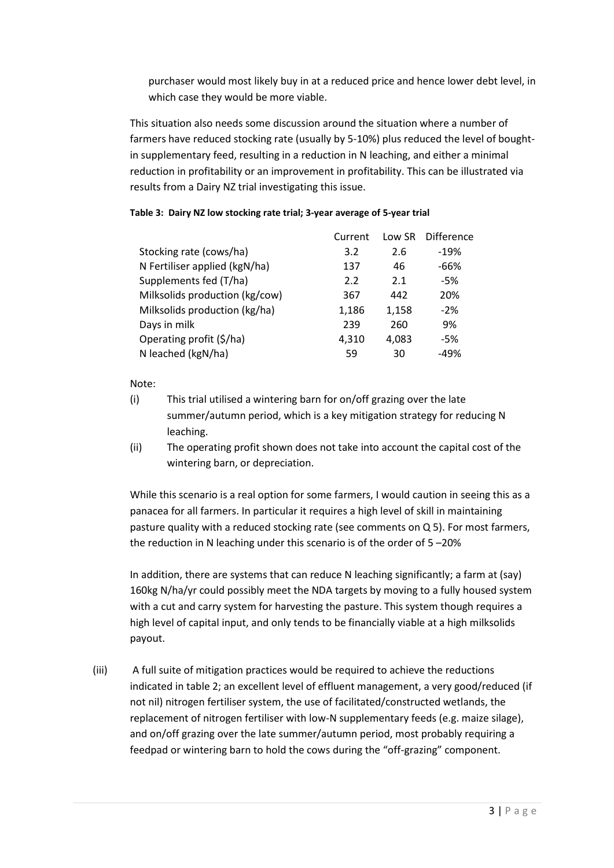purchaser would most likely buy in at a reduced price and hence lower debt level, in which case they would be more viable.

This situation also needs some discussion around the situation where a number of farmers have reduced stocking rate (usually by 5-10%) plus reduced the level of boughtin supplementary feed, resulting in a reduction in N leaching, and either a minimal reduction in profitability or an improvement in profitability. This can be illustrated via results from a Dairy NZ trial investigating this issue.

# **Table 3: Dairy NZ low stocking rate trial; 3-year average of 5-year trial**

|                                | Current | Low SR | Difference |
|--------------------------------|---------|--------|------------|
| Stocking rate (cows/ha)        | 3.2     | 2.6    | $-19%$     |
| N Fertiliser applied (kgN/ha)  | 137     | 46     | -66%       |
| Supplements fed (T/ha)         | 2.2     | 2.1    | -5%        |
| Milksolids production (kg/cow) | 367     | 442    | 20%        |
| Milksolids production (kg/ha)  | 1,186   | 1,158  | $-2%$      |
| Days in milk                   | 239     | 260    | 9%         |
| Operating profit (\$/ha)       | 4,310   | 4,083  | -5%        |
| N leached (kgN/ha)             | 59      | 30     | $-49%$     |

Note:

- (i) This trial utilised a wintering barn for on/off grazing over the late summer/autumn period, which is a key mitigation strategy for reducing N leaching.
- (ii) The operating profit shown does not take into account the capital cost of the wintering barn, or depreciation.

While this scenario is a real option for some farmers, I would caution in seeing this as a panacea for all farmers. In particular it requires a high level of skill in maintaining pasture quality with a reduced stocking rate (see comments on Q 5). For most farmers, the reduction in N leaching under this scenario is of the order of 5 –20%

In addition, there are systems that can reduce N leaching significantly; a farm at (say) 160kg N/ha/yr could possibly meet the NDA targets by moving to a fully housed system with a cut and carry system for harvesting the pasture. This system though requires a high level of capital input, and only tends to be financially viable at a high milksolids payout.

(iii) A full suite of mitigation practices would be required to achieve the reductions indicated in table 2; an excellent level of effluent management, a very good/reduced (if not nil) nitrogen fertiliser system, the use of facilitated/constructed wetlands, the replacement of nitrogen fertiliser with low-N supplementary feeds (e.g. maize silage), and on/off grazing over the late summer/autumn period, most probably requiring a feedpad or wintering barn to hold the cows during the "off-grazing" component.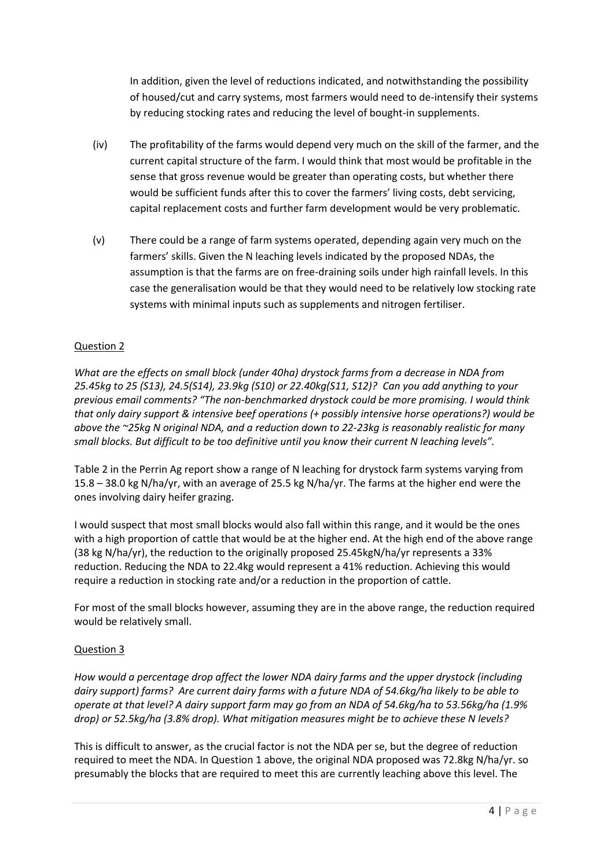In addition, given the level of reductions indicated, and notwithstanding the possibility of housed/cut and carry systems, most farmers would need to de-intensify their systems by reducing stocking rates and reducing the level of bought-in supplements.

- (iv) The profitability of the farms would depend very much on the skill of the farmer, and the current capital structure of the farm. I would think that most would be profitable in the sense that gross revenue would be greater than operating costs, but whether there would be sufficient funds after this to cover the farmers' living costs, debt servicing, capital replacement costs and further farm development would be very problematic.
- (v) There could be a range of farm systems operated, depending again very much on the farmers' skills. Given the N leaching levels indicated by the proposed NDAs, the assumption is that the farms are on free-draining soils under high rainfall levels. In this case the generalisation would be that they would need to be relatively low stocking rate systems with minimal inputs such as supplements and nitrogen fertiliser.

# Question 2

*What are the effects on small block (under 40ha) drystock farms from a decrease in NDA from 25.45kg to 25 (S13), 24.5(S14), 23.9kg (S10) or 22.40kg(S11, S12)? Can you add anything to your previous email comments? "The non-benchmarked drystock could be more promising. I would think that only dairy support & intensive beef operations (+ possibly intensive horse operations?) would be above the ~25kg N original NDA, and a reduction down to 22-23kg is reasonably realistic for many small blocks. But difficult to be too definitive until you know their current N leaching levels".*

Table 2 in the Perrin Ag report show a range of N leaching for drystock farm systems varying from 15.8 – 38.0 kg N/ha/yr, with an average of 25.5 kg N/ha/yr. The farms at the higher end were the ones involving dairy heifer grazing.

I would suspect that most small blocks would also fall within this range, and it would be the ones with a high proportion of cattle that would be at the higher end. At the high end of the above range (38 kg N/ha/yr), the reduction to the originally proposed 25.45kgN/ha/yr represents a 33% reduction. Reducing the NDA to 22.4kg would represent a 41% reduction. Achieving this would require a reduction in stocking rate and/or a reduction in the proportion of cattle.

For most of the small blocks however, assuming they are in the above range, the reduction required would be relatively small.

# Question 3

*How would a percentage drop affect the lower NDA dairy farms and the upper drystock (including dairy support) farms? Are current dairy farms with a future NDA of 54.6kg/ha likely to be able to operate at that level? A dairy support farm may go from an NDA of 54.6kg/ha to 53.56kg/ha (1.9% drop) or 52.5kg/ha (3.8% drop). What mitigation measures might be to achieve these N levels?* 

This is difficult to answer, as the crucial factor is not the NDA per se, but the degree of reduction required to meet the NDA. In Question 1 above, the original NDA proposed was 72.8kg N/ha/yr. so presumably the blocks that are required to meet this are currently leaching above this level. The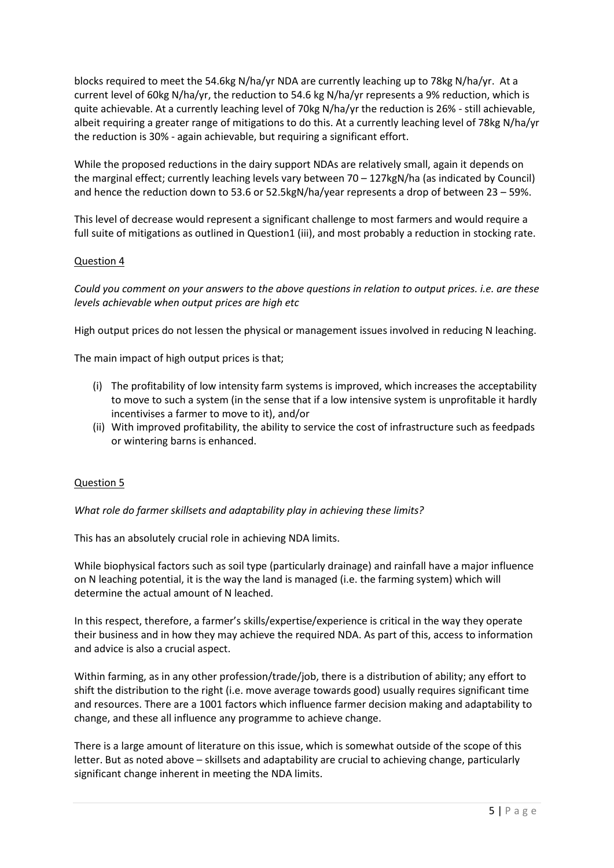blocks required to meet the 54.6kg N/ha/yr NDA are currently leaching up to 78kg N/ha/yr. At a current level of 60kg N/ha/yr, the reduction to 54.6 kg N/ha/yr represents a 9% reduction, which is quite achievable. At a currently leaching level of 70kg N/ha/yr the reduction is 26% - still achievable, albeit requiring a greater range of mitigations to do this. At a currently leaching level of 78kg N/ha/yr the reduction is 30% - again achievable, but requiring a significant effort.

While the proposed reductions in the dairy support NDAs are relatively small, again it depends on the marginal effect; currently leaching levels vary between 70 – 127kgN/ha (as indicated by Council) and hence the reduction down to 53.6 or 52.5kgN/ha/year represents a drop of between 23 – 59%.

This level of decrease would represent a significant challenge to most farmers and would require a full suite of mitigations as outlined in Question1 (iii), and most probably a reduction in stocking rate.

#### Question 4

*Could you comment on your answers to the above questions in relation to output prices. i.e. are these levels achievable when output prices are high etc*

High output prices do not lessen the physical or management issues involved in reducing N leaching.

The main impact of high output prices is that;

- (i) The profitability of low intensity farm systems is improved, which increases the acceptability to move to such a system (in the sense that if a low intensive system is unprofitable it hardly incentivises a farmer to move to it), and/or
- (ii) With improved profitability, the ability to service the cost of infrastructure such as feedpads or wintering barns is enhanced.

#### Question 5

*What role do farmer skillsets and adaptability play in achieving these limits?*

This has an absolutely crucial role in achieving NDA limits.

While biophysical factors such as soil type (particularly drainage) and rainfall have a major influence on N leaching potential, it is the way the land is managed (i.e. the farming system) which will determine the actual amount of N leached.

In this respect, therefore, a farmer's skills/expertise/experience is critical in the way they operate their business and in how they may achieve the required NDA. As part of this, access to information and advice is also a crucial aspect.

Within farming, as in any other profession/trade/job, there is a distribution of ability; any effort to shift the distribution to the right (i.e. move average towards good) usually requires significant time and resources. There are a 1001 factors which influence farmer decision making and adaptability to change, and these all influence any programme to achieve change.

There is a large amount of literature on this issue, which is somewhat outside of the scope of this letter. But as noted above – skillsets and adaptability are crucial to achieving change, particularly significant change inherent in meeting the NDA limits.